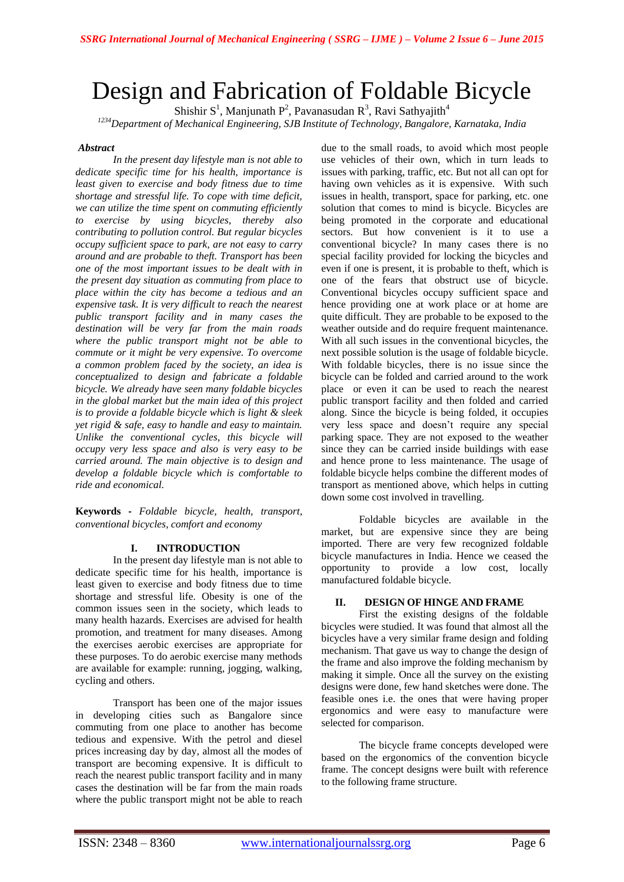# Design and Fabrication of Foldable Bicycle

Shishir S<sup>1</sup>, Manjunath P<sup>2</sup>, Pavanasudan R<sup>3</sup>, Ravi Sathyajith<sup>4</sup> *<sup>1234</sup>Department of Mechanical Engineering, SJB Institute of Technology, Bangalore, Karnataka, India*

# *Abstract*

*In the present day lifestyle man is not able to dedicate specific time for his health, importance is least given to exercise and body fitness due to time shortage and stressful life. To cope with time deficit, we can utilize the time spent on commuting efficiently to exercise by using bicycles, thereby also contributing to pollution control. But regular bicycles occupy sufficient space to park, are not easy to carry around and are probable to theft. Transport has been one of the most important issues to be dealt with in the present day situation as commuting from place to place within the city has become a tedious and an expensive task. It is very difficult to reach the nearest public transport facility and in many cases the destination will be very far from the main roads where the public transport might not be able to commute or it might be very expensive. To overcome a common problem faced by the society, an idea is conceptualized to design and fabricate a foldable bicycle. We already have seen many foldable bicycles in the global market but the main idea of this project is to provide a foldable bicycle which is light & sleek yet rigid & safe, easy to handle and easy to maintain. Unlike the conventional cycles, this bicycle will occupy very less space and also is very easy to be carried around. The main objective is to design and develop a foldable bicycle which is comfortable to ride and economical.*

**Keywords -** *Foldable bicycle, health, transport, conventional bicycles, comfort and economy*

## **I. INTRODUCTION**

In the present day lifestyle man is not able to dedicate specific time for his health, importance is least given to exercise and body fitness due to time shortage and stressful life. Obesity is one of the common issues seen in the society, which leads to many health hazards. Exercises are advised for health promotion, and treatment for many diseases. Among the exercises aerobic exercises are appropriate for these purposes. To do aerobic exercise many methods are available for example: running, jogging, walking, cycling and others.

Transport has been one of the major issues in developing cities such as Bangalore since commuting from one place to another has become tedious and expensive. With the petrol and diesel prices increasing day by day, almost all the modes of transport are becoming expensive. It is difficult to reach the nearest public transport facility and in many cases the destination will be far from the main roads where the public transport might not be able to reach

due to the small roads, to avoid which most people use vehicles of their own, which in turn leads to issues with parking, traffic, etc. But not all can opt for having own vehicles as it is expensive. With such issues in health, transport, space for parking, etc. one solution that comes to mind is bicycle. Bicycles are being promoted in the corporate and educational sectors. But how convenient is it to use a conventional bicycle? In many cases there is no special facility provided for locking the bicycles and even if one is present, it is probable to theft, which is one of the fears that obstruct use of bicycle. Conventional bicycles occupy sufficient space and hence providing one at work place or at home are quite difficult. They are probable to be exposed to the weather outside and do require frequent maintenance. With all such issues in the conventional bicycles, the next possible solution is the usage of foldable bicycle. With foldable bicycles, there is no issue since the bicycle can be folded and carried around to the work place or even it can be used to reach the nearest public transport facility and then folded and carried along. Since the bicycle is being folded, it occupies very less space and doesn't require any special parking space. They are not exposed to the weather since they can be carried inside buildings with ease and hence prone to less maintenance. The usage of foldable bicycle helps combine the different modes of transport as mentioned above, which helps in cutting down some cost involved in travelling.

Foldable bicycles are available in the market, but are expensive since they are being imported. There are very few recognized foldable bicycle manufactures in India. Hence we ceased the opportunity to provide a low cost, locally manufactured foldable bicycle.

## **II. DESIGN OF HINGE AND FRAME**

First the existing designs of the foldable bicycles were studied. It was found that almost all the bicycles have a very similar frame design and folding mechanism. That gave us way to change the design of the frame and also improve the folding mechanism by making it simple. Once all the survey on the existing designs were done, few hand sketches were done. The feasible ones i.e. the ones that were having proper ergonomics and were easy to manufacture were selected for comparison.

The bicycle frame concepts developed were based on the ergonomics of the convention bicycle frame. The concept designs were built with reference to the following frame structure.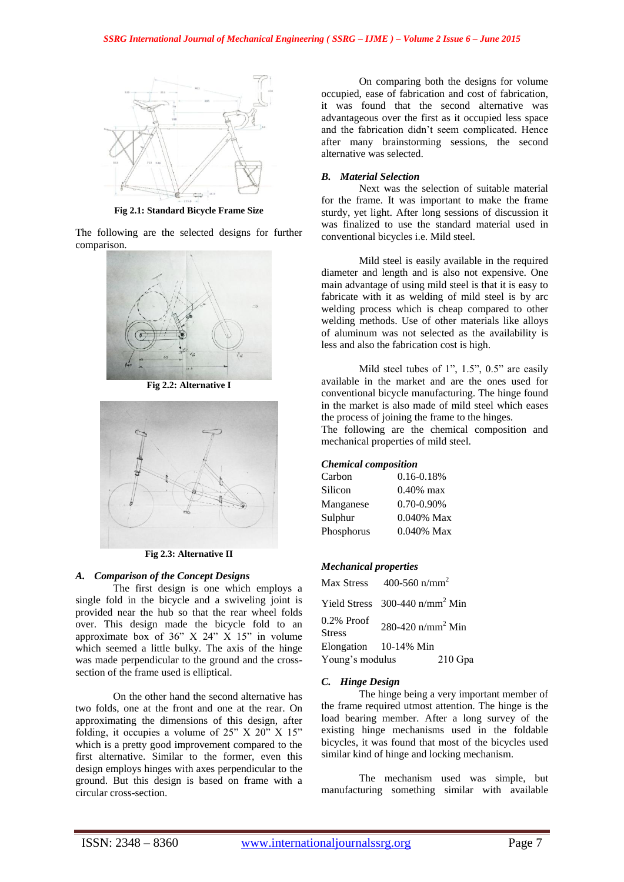

**Fig 2.1: Standard Bicycle Frame Size**

The following are the selected designs for further comparison.



**Fig 2.2: Alternative I**



**Fig 2.3: Alternative II**

#### *A. Comparison of the Concept Designs*

The first design is one which employs a single fold in the bicycle and a swiveling joint is provided near the hub so that the rear wheel folds over. This design made the bicycle fold to an approximate box of  $36"$  X  $24"$  X  $15"$  in volume which seemed a little bulky. The axis of the hinge was made perpendicular to the ground and the crosssection of the frame used is elliptical.

On the other hand the second alternative has two folds, one at the front and one at the rear. On approximating the dimensions of this design, after folding, it occupies a volume of  $25"$  X  $20"$  X  $15"$ which is a pretty good improvement compared to the first alternative. Similar to the former, even this design employs hinges with axes perpendicular to the ground. But this design is based on frame with a circular cross-section.

On comparing both the designs for volume occupied, ease of fabrication and cost of fabrication, it was found that the second alternative was advantageous over the first as it occupied less space and the fabrication didn't seem complicated. Hence after many brainstorming sessions, the second alternative was selected.

## *B. Material Selection*

Next was the selection of suitable material for the frame. It was important to make the frame sturdy, yet light. After long sessions of discussion it was finalized to use the standard material used in conventional bicycles i.e. Mild steel.

Mild steel is easily available in the required diameter and length and is also not expensive. One main advantage of using mild steel is that it is easy to fabricate with it as welding of mild steel is by arc welding process which is cheap compared to other welding methods. Use of other materials like alloys of aluminum was not selected as the availability is less and also the fabrication cost is high.

Mild steel tubes of 1", 1.5", 0.5" are easily available in the market and are the ones used for conventional bicycle manufacturing. The hinge found in the market is also made of mild steel which eases the process of joining the frame to the hinges.

The following are the chemical composition and mechanical properties of mild steel.

#### *Chemical composition*

| $0.16 - 0.18%$  |
|-----------------|
| $0.40\%$ max    |
| $0.70 - 0.90\%$ |
| 0.040% Max      |
| $0.040\%$ Max   |
|                 |

#### *Mechanical properties*

| Max Stress                     | 400-560 $n/mm^2$                             |         |
|--------------------------------|----------------------------------------------|---------|
|                                | Yield Stress $300-440$ n/mm <sup>2</sup> Min |         |
| $0.2\%$ Proof<br><b>Stress</b> | 280-420 $n/mm^2$ Min                         |         |
|                                | Elongation 10-14% Min                        |         |
| Young's modulus                |                                              | 210 Gpa |

#### *C. Hinge Design*

The hinge being a very important member of the frame required utmost attention. The hinge is the load bearing member. After a long survey of the existing hinge mechanisms used in the foldable bicycles, it was found that most of the bicycles used similar kind of hinge and locking mechanism.

The mechanism used was simple, but manufacturing something similar with available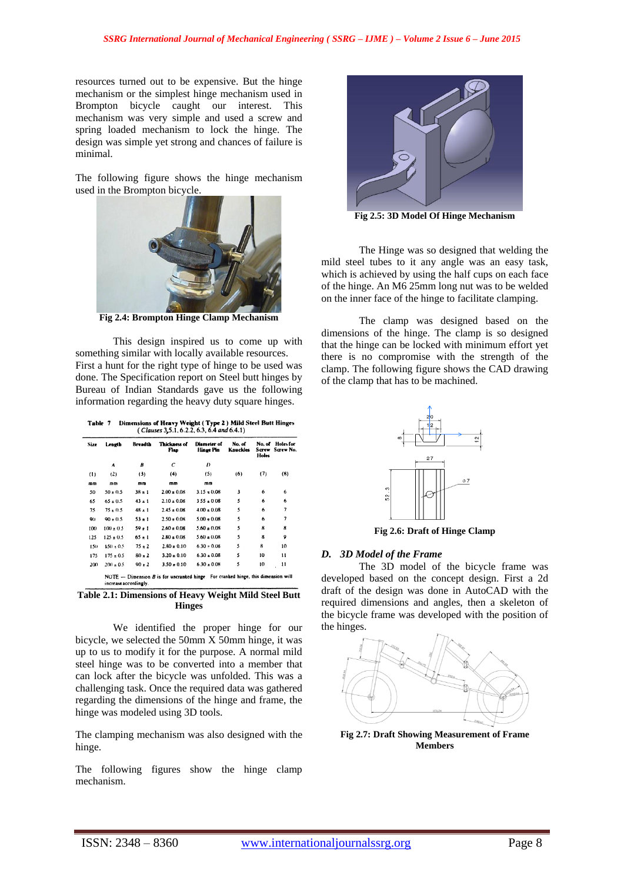resources turned out to be expensive. But the hinge mechanism or the simplest hinge mechanism used in Brompton bicycle caught our interest. This mechanism was very simple and used a screw and spring loaded mechanism to lock the hinge. The design was simple yet strong and chances of failure is minimal.

The following figure shows the hinge mechanism used in the Brompton bicycle.



**Fig 2.4: Brompton Hinge Clamp Mechanism**

This design inspired us to come up with something similar with locally available resources. First a hunt for the right type of hinge to be used was done. The Specification report on Steel butt hinges by Bureau of Indian Standards gave us the following information regarding the heavy duty square hinges.

| Table 7 | Dimensions of Heavy Weight (Type 2) Mild Steel Butt Hinges |
|---------|------------------------------------------------------------|
|         | $(Clauses 3, 5.1, 6.2.2, 6.3, 6.4 and 6.4.1)$              |

| Size | Length        | Breadth    | Thickness of<br>Flap | Diameter of<br>Hinge Pin | No. of<br>Knuckles | No. of<br>Sarew<br><b>Holes</b> | Holes for<br>Screw No. |
|------|---------------|------------|----------------------|--------------------------|--------------------|---------------------------------|------------------------|
|      | A             | B          | C                    | D                        |                    |                                 |                        |
| (1)  | (2)           | (3)        | (4)                  | (5)                      | (6)                | (7)                             | (8)                    |
| mm   | mn            | mm         | mm                   | mm                       |                    |                                 |                        |
| 50   | $50 \pm 0.5$  | $38 + 1$   | $2.00 \pm 0.08$      | $3.15 \pm 0.08$          | 3                  | 6                               | 6                      |
| 65   | $65 \pm 0.5$  | $43 + 1$   | $2.10 \pm 0.08$      | $355 \pm 0.08$           | 5                  | 6                               | 6                      |
| 75   | $75 + 0.5$    | $48 \pm 1$ | $2.45 \pm 0.08$      | $4.00 \pm 0.08$          | 5                  | 6                               | 7                      |
| 90   | $90 \pm 0.5$  | $53 + 1$   | $2.50 \pm 0.08$      | $5.00 \pm 0.08$          | 5                  | 6                               | 7                      |
| 100  | $100 \pm 0.5$ | $59 + 1$   | $2.60 \pm 0.08$      | $5.60 \pm 0.08$          | 5                  | 8                               | 8                      |
| 125  | $125 \pm 0.5$ | $65 \pm 1$ | $2.80 \pm 0.08$      | $5.60 \pm 0.08$          | 5                  | 8                               | 9                      |
| 150  | $150 \pm 0.5$ | $75 + 2$   | $2.80 \pm 0.10$      | $6.30 \div 0.08$         | 5                  | 8                               | 10                     |
| 175  | $175 \pm 0.5$ | $80 \pm 2$ | $3.20 \pm 0.10$      | $6.30 \pm 0.08$          | 5                  | 10                              | 11                     |
| 200  | $200 \pm 0.5$ | $90 + 2$   | $3.50 \pm 0.10$      | $6.30 \pm 0.08$          | 5                  | 10                              | 11                     |

**Table 2.1: Dimensions of Heavy Weight Mild Steel Butt Hinges**

We identified the proper hinge for our bicycle, we selected the 50mm X 50mm hinge, it was up to us to modify it for the purpose. A normal mild steel hinge was to be converted into a member that can lock after the bicycle was unfolded. This was a challenging task. Once the required data was gathered regarding the dimensions of the hinge and frame, the hinge was modeled using 3D tools.

The clamping mechanism was also designed with the hinge.

The following figures show the hinge clamp mechanism.



**Fig 2.5: 3D Model Of Hinge Mechanism**

The Hinge was so designed that welding the mild steel tubes to it any angle was an easy task, which is achieved by using the half cups on each face of the hinge. An M6 25mm long nut was to be welded on the inner face of the hinge to facilitate clamping.

The clamp was designed based on the dimensions of the hinge. The clamp is so designed that the hinge can be locked with minimum effort yet there is no compromise with the strength of the clamp. The following figure shows the CAD drawing of the clamp that has to be machined.



**Fig 2.6: Draft of Hinge Clamp**

# *D. 3D Model of the Frame*

The 3D model of the bicycle frame was developed based on the concept design. First a 2d draft of the design was done in AutoCAD with the required dimensions and angles, then a skeleton of the bicycle frame was developed with the position of the hinges.



**Fig 2.7: Draft Showing Measurement of Frame Members**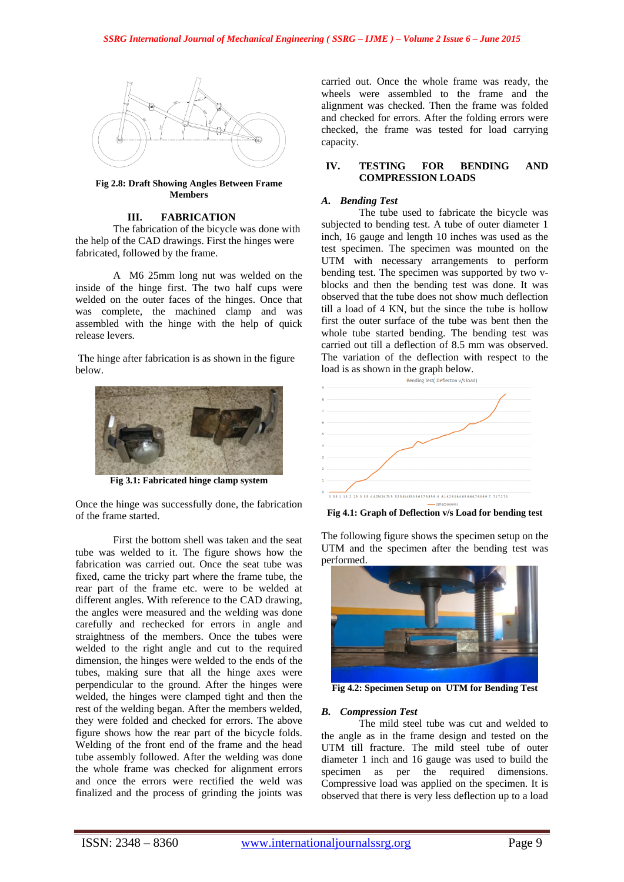

**Fig 2.8: Draft Showing Angles Between Frame Members** 

# **III. FABRICATION**

The fabrication of the bicycle was done with the help of the CAD drawings. First the hinges were fabricated, followed by the frame.

A M6 25mm long nut was welded on the inside of the hinge first. The two half cups were welded on the outer faces of the hinges. Once that was complete, the machined clamp and was assembled with the hinge with the help of quick release levers.

The hinge after fabrication is as shown in the figure below.



**Fig 3.1: Fabricated hinge clamp system**

Once the hinge was successfully done, the fabrication of the frame started.

First the bottom shell was taken and the seat tube was welded to it. The figure shows how the fabrication was carried out. Once the seat tube was fixed, came the tricky part where the frame tube, the rear part of the frame etc. were to be welded at different angles. With reference to the CAD drawing, the angles were measured and the welding was done carefully and rechecked for errors in angle and straightness of the members. Once the tubes were welded to the right angle and cut to the required dimension, the hinges were welded to the ends of the tubes, making sure that all the hinge axes were perpendicular to the ground. After the hinges were welded, the hinges were clamped tight and then the rest of the welding began. After the members welded, they were folded and checked for errors. The above figure shows how the rear part of the bicycle folds. Welding of the front end of the frame and the head tube assembly followed. After the welding was done the whole frame was checked for alignment errors and once the errors were rectified the weld was finalized and the process of grinding the joints was

carried out. Once the whole frame was ready, the wheels were assembled to the frame and the alignment was checked. Then the frame was folded and checked for errors. After the folding errors were checked, the frame was tested for load carrying capacity.

# **IV. TESTING FOR BENDING AND COMPRESSION LOADS**

# *A. Bending Test*

The tube used to fabricate the bicycle was subjected to bending test. A tube of outer diameter 1 inch, 16 gauge and length 10 inches was used as the test specimen. The specimen was mounted on the UTM with necessary arrangements to perform bending test. The specimen was supported by two vblocks and then the bending test was done. It was observed that the tube does not show much deflection till a load of 4 KN, but the since the tube is hollow first the outer surface of the tube was bent then the whole tube started bending. The bending test was carried out till a deflection of 8.5 mm was observed. The variation of the deflection with respect to the load is as shown in the graph below.<br>  $\frac{\text{Bending Test (Deflection V/s load)}}{\text{Bending Test (Deflection V/s load)}}$ 



**Fig 4.1: Graph of Deflection v/s Load for bending test**

The following figure shows the specimen setup on the UTM and the specimen after the bending test was performed.



**Fig 4.2: Specimen Setup on UTM for Bending Test**

### *B. Compression Test*

The mild steel tube was cut and welded to the angle as in the frame design and tested on the UTM till fracture. The mild steel tube of outer diameter 1 inch and 16 gauge was used to build the specimen as per the required dimensions. Compressive load was applied on the specimen. It is observed that there is very less deflection up to a load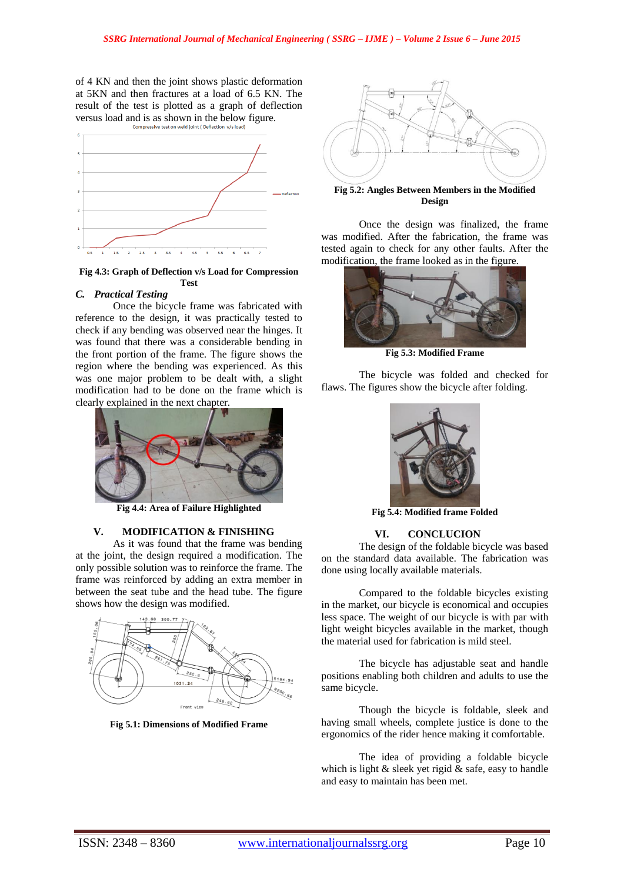of 4 KN and then the joint shows plastic deformation at 5KN and then fractures at a load of 6.5 KN. The result of the test is plotted as a graph of deflection versus load and is as shown in the below figure.<br>  $\frac{1}{\text{compressive test on well joint (Deflection v/s load)}}$ 



**Fig 4.3: Graph of Deflection v/s Load for Compression Test**

# *C. Practical Testing*

Once the bicycle frame was fabricated with reference to the design, it was practically tested to check if any bending was observed near the hinges. It was found that there was a considerable bending in the front portion of the frame. The figure shows the region where the bending was experienced. As this was one major problem to be dealt with, a slight modification had to be done on the frame which is clearly explained in the next chapter.



**Fig 4.4: Area of Failure Highlighted**

# **V. MODIFICATION & FINISHING**

As it was found that the frame was bending at the joint, the design required a modification. The only possible solution was to reinforce the frame. The frame was reinforced by adding an extra member in between the seat tube and the head tube. The figure shows how the design was modified.



**Fig 5.1: Dimensions of Modified Frame**



**Fig 5.2: Angles Between Members in the Modified Design**

Once the design was finalized, the frame was modified. After the fabrication, the frame was tested again to check for any other faults. After the modification, the frame looked as in the figure.



**Fig 5.3: Modified Frame**

The bicycle was folded and checked for flaws. The figures show the bicycle after folding.



**Fig 5.4: Modified frame Folded**

# **VI. CONCLUCION**

The design of the foldable bicycle was based on the standard data available. The fabrication was done using locally available materials.

Compared to the foldable bicycles existing in the market, our bicycle is economical and occupies less space. The weight of our bicycle is with par with light weight bicycles available in the market, though the material used for fabrication is mild steel.

The bicycle has adjustable seat and handle positions enabling both children and adults to use the same bicycle.

Though the bicycle is foldable, sleek and having small wheels, complete justice is done to the ergonomics of the rider hence making it comfortable.

The idea of providing a foldable bicycle which is light  $\&$  sleek yet rigid  $\&$  safe, easy to handle and easy to maintain has been met.